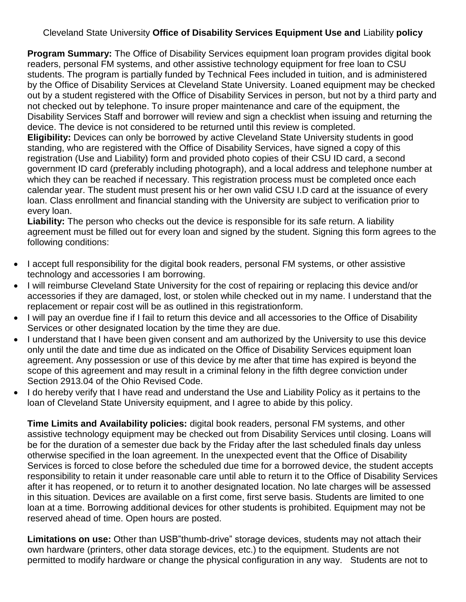## Cleveland State University **Office of Disability Services Equipment Use and** Liability **policy**

**Program Summary:** The Office of Disability Services equipment loan program provides digital book readers, personal FM systems, and other assistive technology equipment for free loan to CSU students. The program is partially funded by Technical Fees included in tuition, and is administered by the Office of Disability Services at Cleveland State University. Loaned equipment may be checked out by a student registered with the Office of Disability Services in person, but not by a third party and not checked out by telephone. To insure proper maintenance and care of the equipment, the Disability Services Staff and borrower will review and sign a checklist when issuing and returning the device. The device is not considered to be returned until this review is completed.

**Eligibility:** Devices can only be borrowed by active Cleveland State University students in good standing, who are registered with the Office of Disability Services, have signed a copy of this registration (Use and Liability) form and provided photo copies of their CSU ID card, a second government ID card (preferably including photograph), and a local address and telephone number at which they can be reached if necessary. This registration process must be completed once each calendar year. The student must present his or her own valid CSU I.D card at the issuance of every loan. Class enrollment and financial standing with the University are subject to verification prior to every loan.

**Liability:** The person who checks out the device is responsible for its safe return. A liability agreement must be filled out for every loan and signed by the student. Signing this form agrees to the following conditions:

- I accept full responsibility for the digital book readers, personal FM systems, or other assistive technology and accessories I am borrowing.
- I will reimburse Cleveland State University for the cost of repairing or replacing this device and/or accessories if they are damaged, lost, or stolen while checked out in my name. I understand that the replacement or repair cost will be as outlined in this registrationform.
- I will pay an overdue fine if I fail to return this device and all accessories to the Office of Disability Services or other designated location by the time they are due.
- I understand that I have been given consent and am authorized by the University to use this device only until the date and time due as indicated on the Office of Disability Services equipment loan agreement. Any possession or use of this device by me after that time has expired is beyond the scope of this agreement and may result in a criminal felony in the fifth degree conviction under Section 2913.04 of the Ohio Revised Code.
- I do hereby verify that I have read and understand the Use and Liability Policy as it pertains to the loan of Cleveland State University equipment, and I agree to abide by this policy.

**Time Limits and Availability policies:** digital book readers, personal FM systems, and other assistive technology equipment may be checked out from Disability Services until closing. Loans will be for the duration of a semester due back by the Friday after the last scheduled finals day unless otherwise specified in the loan agreement. In the unexpected event that the Office of Disability Services is forced to close before the scheduled due time for a borrowed device, the student accepts responsibility to retain it under reasonable care until able to return it to the Office of Disability Services after it has reopened, or to return it to another designated location. No late charges will be assessed in this situation. Devices are available on a first come, first serve basis. Students are limited to one loan at a time. Borrowing additional devices for other students is prohibited. Equipment may not be reserved ahead of time. Open hours are posted.

**Limitations on use:** Other than USB"thumb-drive" storage devices, students may not attach their own hardware (printers, other data storage devices, etc.) to the equipment. Students are not permitted to modify hardware or change the physical configuration in any way. Students are not to